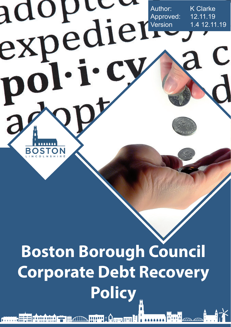

# **Boston Borough Council Corporate Debt Recovery Policy**

T # AID THIN 1 Arm ###

<u>II a inin a inin a</u>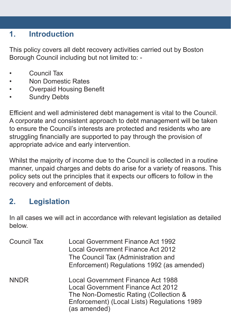### **1. Introduction**

This policy covers all debt recovery activities carried out by Boston Borough Council including but not limited to: -

- Council Tax
- Non Domestic Rates
- **Overpaid Housing Benefit**
- **Sundry Debts**

Efficient and well administered debt management is vital to the Council. A corporate and consistent approach to debt management will be taken to ensure the Council's interests are protected and residents who are struggling financially are supported to pay through the provision of appropriate advice and early intervention.

Whilst the majority of income due to the Council is collected in a routine manner, unpaid charges and debts do arise for a variety of reasons. This policy sets out the principles that it expects our officers to follow in the recovery and enforcement of debts.

# **2. Legislation**

In all cases we will act in accordance with relevant legislation as detailed below.

| <b>Council Tax</b> | <b>Local Government Finance Act 1992</b><br><b>Local Government Finance Act 2012</b><br>The Council Tax (Administration and<br>Enforcement) Regulations 1992 (as amended)                    |
|--------------------|----------------------------------------------------------------------------------------------------------------------------------------------------------------------------------------------|
| <b>NNDR</b>        | <b>Local Government Finance Act 1988</b><br><b>Local Government Finance Act 2012</b><br>The Non-Domestic Rating (Collection &<br>Enforcement) (Local Lists) Regulations 1989<br>(as amended) |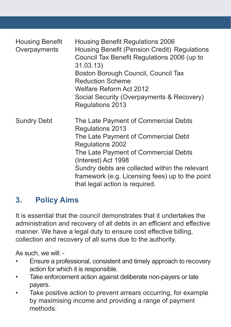| <b>Housing Benefit</b><br>Overpayments | <b>Housing Benefit Regulations 2006</b><br>Housing Benefit (Pension Credit) Regulations<br>Council Tax Benefit Regulations 2006 (up to<br>31.03.13)<br>Boston Borough Council, Council Tax<br><b>Reduction Scheme</b><br><b>Welfare Reform Act 2012</b><br>Social Security (Overpayments & Recovery)<br>Regulations 2013  |
|----------------------------------------|---------------------------------------------------------------------------------------------------------------------------------------------------------------------------------------------------------------------------------------------------------------------------------------------------------------------------|
| <b>Sundry Debt</b>                     | The Late Payment of Commercial Debts<br>Regulations 2013<br>The Late Payment of Commercial Debt<br>Regulations 2002<br>The Late Payment of Commercial Debts<br>(Interest) Act 1998<br>Sundry debts are collected within the relevant<br>framework (e.g. Licensing fees) up to the point<br>that legal action is required. |

#### **3. Policy Aims**

It is essential that the council demonstrates that it undertakes the administration and recovery of all debts in an efficient and effective manner. We have a legal duty to ensure cost effective billing, collection and recovery of all sums due to the authority.

As such, we will: -

- • Ensure a professional, consistent and timely approach to recovery action for which it is responsible.
- Take enforcement action against deliberate non-payers or late payers.
- Take positive action to prevent arrears occurring, for example by maximising income and providing a range of payment methods.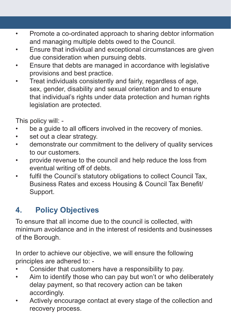- • Promote a co-ordinated approach to sharing debtor information and managing multiple debts owed to the Council.
- Ensure that individual and exceptional circumstances are given due consideration when pursuing debts.
- • Ensure that debts are managed in accordance with legislative provisions and best practice.
- Treat individuals consistently and fairly, regardless of age, sex, gender, disability and sexual orientation and to ensure that individual's rights under data protection and human rights legislation are protected.

This policy will: -

- be a quide to all officers involved in the recovery of monies.
- set out a clear strategy.
- demonstrate our commitment to the delivery of quality services to our customers.
- • provide revenue to the council and help reduce the loss from eventual writing off of debts.
- • fulfil the Council's statutory obligations to collect Council Tax, Business Rates and excess Housing & Council Tax Benefit/ Support.

# **4. Policy Objectives**

To ensure that all income due to the council is collected, with minimum avoidance and in the interest of residents and businesses of the Borough.

In order to achieve our objective, we will ensure the following principles are adhered to: -

- Consider that customers have a responsibility to pay.
- Aim to identify those who can pay but won't or who deliberately delay payment, so that recovery action can be taken accordingly.
- Actively encourage contact at every stage of the collection and recovery process.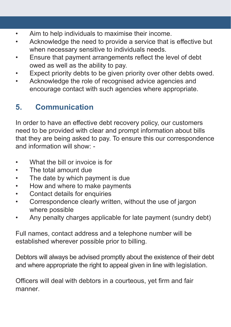- Aim to help individuals to maximise their income.
- Acknowledge the need to provide a service that is effective but when necessary sensitive to individuals needs.
- • Ensure that payment arrangements reflect the level of debt owed as well as the ability to pay.
- Expect priority debts to be given priority over other debts owed.
- Acknowledge the role of recognised advice agencies and encourage contact with such agencies where appropriate.

# **5. Communication**

In order to have an effective debt recovery policy, our customers need to be provided with clear and prompt information about bills that they are being asked to pay. To ensure this our correspondence and information will show: -

- What the bill or invoice is for
- The total amount due
- The date by which payment is due
- • How and where to make payments
- • Contact details for enquiries
- Correspondence clearly written, without the use of jargon where possible
- • Any penalty charges applicable for late payment (sundry debt)

Full names, contact address and a telephone number will be established wherever possible prior to billing.

Debtors will always be advised promptly about the existence of their debt and where appropriate the right to appeal given in line with legislation.

Officers will deal with debtors in a courteous, yet firm and fair manner.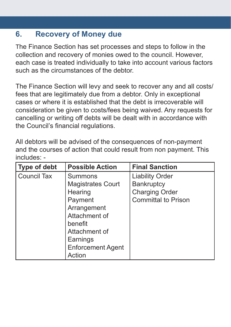#### **6. Recovery of Money due**

The Finance Section has set processes and steps to follow in the collection and recovery of monies owed to the council. However, each case is treated individually to take into account various factors such as the circumstances of the debtor.

The Finance Section will levy and seek to recover any and all costs/ fees that are legitimately due from a debtor. Only in exceptional cases or where it is established that the debt is irrecoverable will consideration be given to costs/fees being waived. Any requests for cancelling or writing off debts will be dealt with in accordance with the Council's financial regulations.

All debtors will be advised of the consequences of non-payment and the courses of action that could result from non payment. This includes: -

| <b>Type of debt</b> | <b>Possible Action</b>   | <b>Final Sanction</b>      |
|---------------------|--------------------------|----------------------------|
| <b>Council Tax</b>  | <b>Summons</b>           | <b>Liability Order</b>     |
|                     | <b>Magistrates Court</b> | <b>Bankruptcy</b>          |
|                     | Hearing                  | <b>Charging Order</b>      |
|                     | Payment                  | <b>Committal to Prison</b> |
|                     | Arrangement              |                            |
|                     | Attachment of            |                            |
|                     | benefit                  |                            |
|                     | Attachment of            |                            |
|                     | Earnings                 |                            |
|                     | <b>Enforcement Agent</b> |                            |
|                     | Action                   |                            |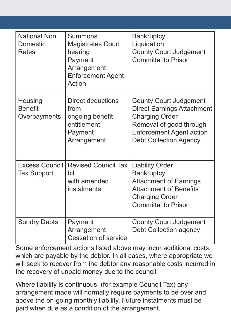| <b>National Non</b><br><b>Domestic</b><br>Rates | <b>Summons</b><br><b>Magistrates Court</b><br>hearing<br>Payment<br>Arrangement<br><b>Enforcement Agent</b><br>Action | <b>Bankruptcy</b><br>Liquidation<br><b>County Court Judgement</b><br><b>Committal to Prison</b>                                                                                            |
|-------------------------------------------------|-----------------------------------------------------------------------------------------------------------------------|--------------------------------------------------------------------------------------------------------------------------------------------------------------------------------------------|
| Housing<br><b>Benefit</b><br>Overpayments       | <b>Direct deductions</b><br>from<br>ongoing benefit<br>entitlement<br>Payment<br>Arrangement                          | <b>County Court Judgement</b><br><b>Direct Earnings Attachment</b><br><b>Charging Order</b><br>Removal of good through<br><b>Enforcement Agent action</b><br><b>Debt Collection Agency</b> |
| <b>Excess Council</b><br><b>Tax Support</b>     | <b>Revised Council Tax</b><br>bill<br>with amended<br>instalments                                                     | <b>Liability Order</b><br><b>Bankruptcy</b><br><b>Attachment of Earnings</b><br><b>Attachment of Benefits</b><br><b>Charging Order</b><br><b>Committal to Prison</b>                       |
| <b>Sundry Debts</b>                             | Payment<br>Arrangement<br><b>Cessation of service</b>                                                                 | <b>County Court Judgement</b><br><b>Debt Collection agency</b>                                                                                                                             |

Some enforcement actions listed above may incur additional costs, which are payable by the debtor. In all cases, where appropriate we will seek to recover from the debtor any reasonable costs incurred in the recovery of unpaid money due to the council.

Where liability is continuous, (for example Council Tax) any arrangement made will normally require payments to be over and above the on-going monthly liability. Future instalments must be paid when due as a condition of the arrangement.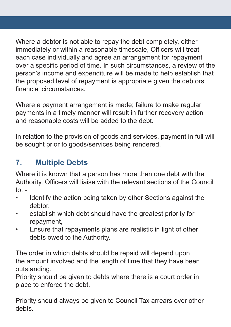Where a debtor is not able to repay the debt completely, either immediately or within a reasonable timescale, Officers will treat each case individually and agree an arrangement for repayment over a specific period of time. In such circumstances, a review of the person's income and expenditure will be made to help establish that the proposed level of repayment is appropriate given the debtors financial circumstances.

Where a payment arrangement is made; failure to make regular payments in a timely manner will result in further recovery action and reasonable costs will be added to the debt.

In relation to the provision of goods and services, payment in full will be sought prior to goods/services being rendered.

# **7. Multiple Debts**

Where it is known that a person has more than one debt with the Authority, Officers will liaise with the relevant sections of the Council to: -

- • Identify the action being taken by other Sections against the debtor,
- • establish which debt should have the greatest priority for repayment,
- Ensure that repayments plans are realistic in light of other debts owed to the Authority.

The order in which debts should be repaid will depend upon the amount involved and the length of time that they have been outstanding.

Priority should be given to debts where there is a court order in place to enforce the debt.

Priority should always be given to Council Tax arrears over other debts.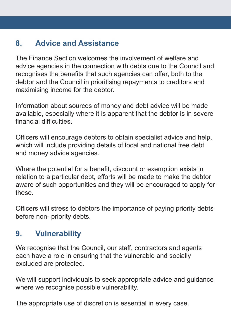## **8. Advice and Assistance**

The Finance Section welcomes the involvement of welfare and advice agencies in the connection with debts due to the Council and recognises the benefits that such agencies can offer, both to the debtor and the Council in prioritising repayments to creditors and maximising income for the debtor.

Information about sources of money and debt advice will be made available, especially where it is apparent that the debtor is in severe financial difficulties.

Officers will encourage debtors to obtain specialist advice and help, which will include providing details of local and national free debt and money advice agencies.

Where the potential for a benefit, discount or exemption exists in relation to a particular debt, efforts will be made to make the debtor aware of such opportunities and they will be encouraged to apply for these.

Officers will stress to debtors the importance of paying priority debts before non- priority debts.

#### **9. Vulnerability**

We recognise that the Council, our staff, contractors and agents each have a role in ensuring that the vulnerable and socially excluded are protected.

We will support individuals to seek appropriate advice and guidance where we recognise possible vulnerability.

The appropriate use of discretion is essential in every case.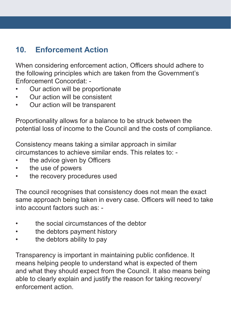### **10. Enforcement Action**

When considering enforcement action, Officers should adhere to the following principles which are taken from the Government's Enforcement Concordat: -

- Our action will be proportionate
- Our action will be consistent
- • Our action will be transparent

Proportionality allows for a balance to be struck between the potential loss of income to the Council and the costs of compliance.

Consistency means taking a similar approach in similar circumstances to achieve similar ends. This relates to: -

- the advice given by Officers
- • the use of powers
- the recovery procedures used

The council recognises that consistency does not mean the exact same approach being taken in every case. Officers will need to take into account factors such as: -

- the social circumstances of the debtor
- the debtors payment history
- the debtors ability to pay

Transparency is important in maintaining public confidence. It means helping people to understand what is expected of them and what they should expect from the Council. It also means being able to clearly explain and justify the reason for taking recovery/ enforcement action.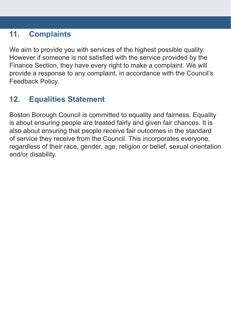#### **11. Complaints**

We aim to provide you with services of the highest possible quality. However if someone is not satisfied with the service provided by the Finance Section, they have every right to make a complaint. We will provide a response to any complaint, in accordance with the Council's Feedback Policy.

# **12. Equalities Statement**

Boston Borough Council is committed to equality and fairness. Equality is about ensuring people are treated fairly and given fair chances. It is also about ensuring that people receive fair outcomes in the standard of service they receive from the Council. This incorporates everyone, regardless of their race, gender, age, religion or belief, sexual orientation and/or disability.